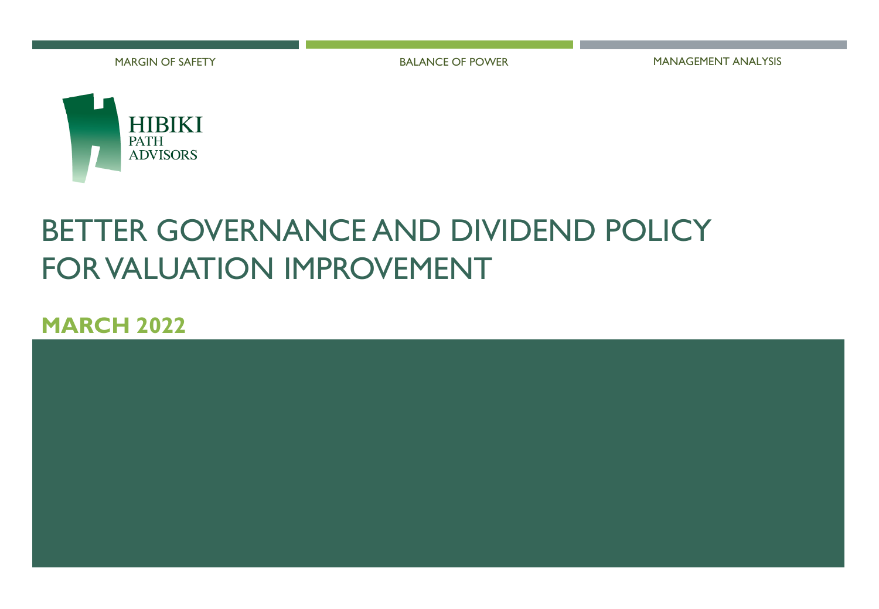

MARGIN OF SAFETY THE SALL STATE OF POWER THE MANAGEMENT ANALYSIS



# BETTER GOVERNANCE AND DIVIDEND POLICY FOR VALUATION IMPROVEMENT

### **MARCH 2022**

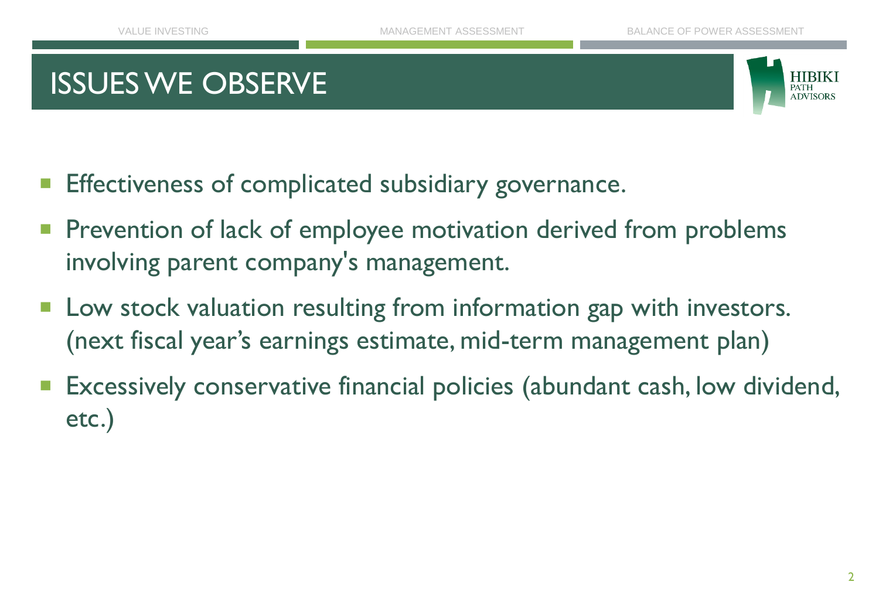## ISSUES WE OBSERVE



- Effectiveness of complicated subsidiary governance.
- Prevention of lack of employee motivation derived from problems involving parent company's management.
- Low stock valuation resulting from information gap with investors. (next fiscal year's earnings estimate, mid-term management plan)
- Excessively conservative financial policies (abundant cash, low dividend, etc.)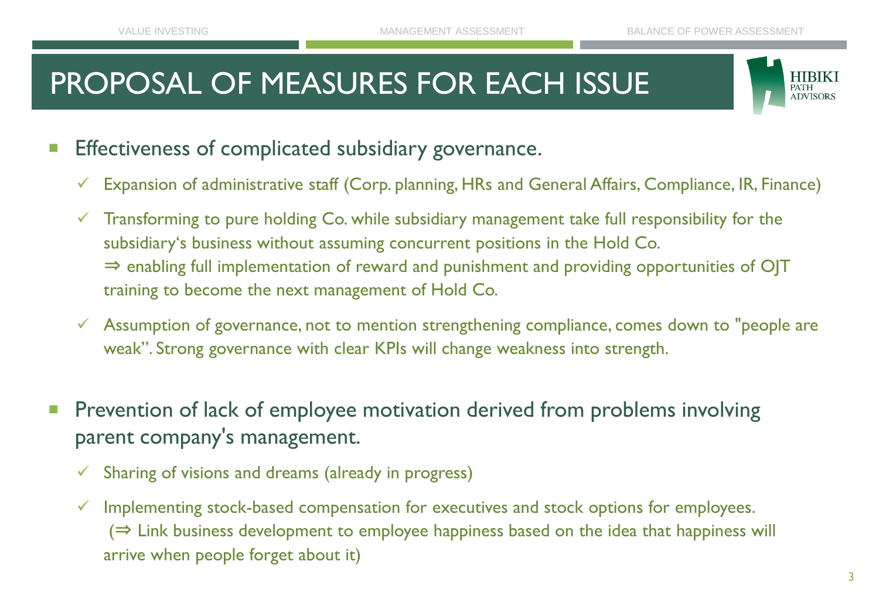# PROPOSAL OF MEASURES FOR EACH ISSUE



- Effectiveness of complicated subsidiary governance.
	- $\checkmark$  Expansion of administrative staff (Corp. planning, HRs and General Affairs, Compliance, IR, Finance)
	- $\checkmark$  Transforming to pure holding Co. while subsidiary management take full responsibility for the subsidiary's business without assuming concurrent positions in the Hold Co. ⇒ enabling full implementation of reward and punishment and providing opportunities of OJT training to become the next management of Hold Co.
	- $\checkmark$  Assumption of governance, not to mention strengthening compliance, comes down to "people are weak". Strong governance with clear KPIs will change weakness into strength.
- Prevention of lack of employee motivation derived from problems involving parent company's management.
	- $\checkmark$  Sharing of visions and dreams (already in progress)
	- $\checkmark$  Implementing stock-based compensation for executives and stock options for employees.  $(\Rightarrow$  Link business development to employee happiness based on the idea that happiness will arrive when people forget about it)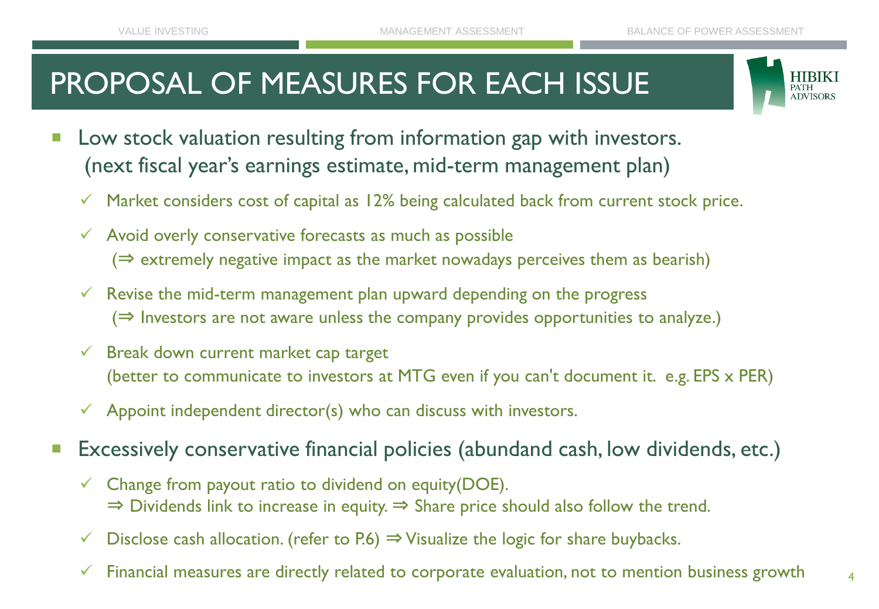# PROPOSAL OF MEASURES FOR EACH ISSUE



- Low stock valuation resulting from information gap with investors. (next fiscal year's earnings estimate, mid-term management plan)
	- $\checkmark$  Market considers cost of capital as 12% being calculated back from current stock price.
	- $\checkmark$  Avoid overly conservative forecasts as much as possible  $(\Rightarrow$  extremely negative impact as the market nowadays perceives them as bearish)
	- $\checkmark$  Revise the mid-term management plan upward depending on the progress  $(\Rightarrow$  Investors are not aware unless the company provides opportunities to analyze.)
	- $\checkmark$  Break down current market cap target (better to communicate to investors at MTG even if you can't document it. e.g. EPS x PER)
	- $\checkmark$  Appoint independent director(s) who can discuss with investors.
- Excessively conservative financial policies (abundand cash, low dividends, etc.)
	- $\checkmark$  Change from payout ratio to dividend on equity(DOE).  $\Rightarrow$  Dividends link to increase in equity.  $\Rightarrow$  Share price should also follow the trend.
	- Disclose cash allocation. (refer to P.6)  $\Rightarrow$  Visualize the logic for share buybacks.
	- $\checkmark$  Financial measures are directly related to corporate evaluation, not to mention business growth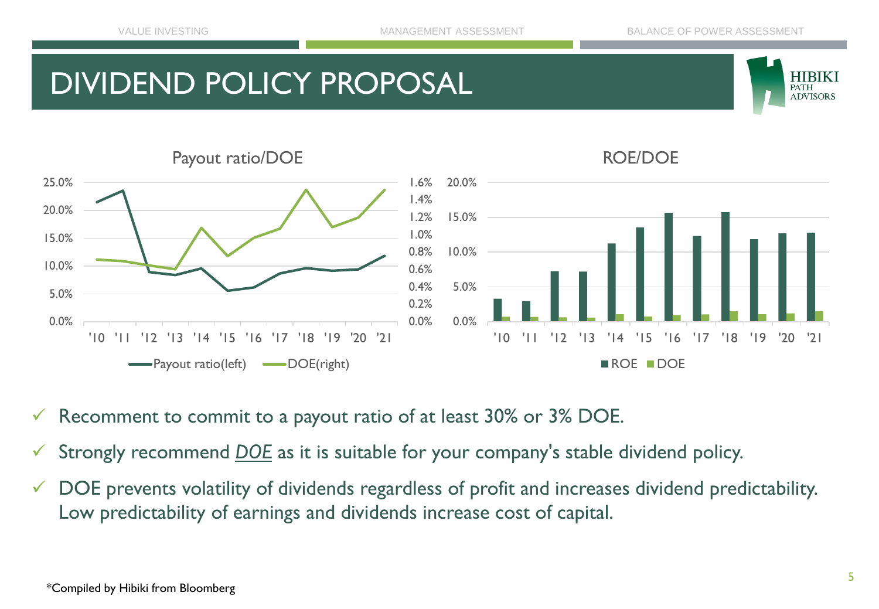## DIVIDEND POLICY PROPOSAL





- $\checkmark$  Recomment to commit to a payout ratio of at least 30% or 3% DOE.
- Strongly recommend **DOE** as it is suitable for your company's stable dividend policy.
- ✓ DOE prevents volatility of dividends regardless of profit and increases dividend predictability. Low predictability of earnings and dividends increase cost of capital.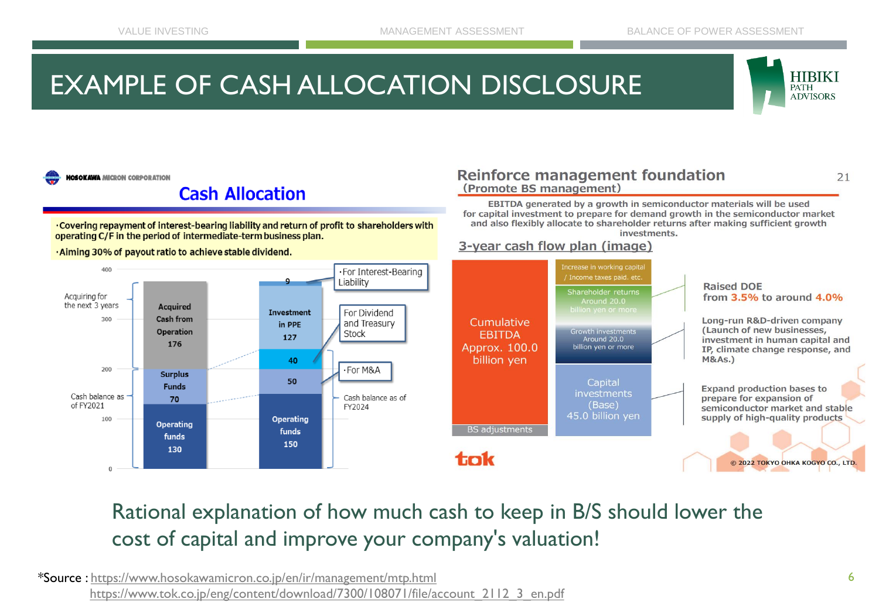## EXAMPLE OF CASH ALLOCATION DISCLOSURE



 $21$ 

**HOSOKAWA MICRON CORPORATION** 

### **Cash Allocation**

. Covering repayment of interest-bearing liability and return of profit to shareholders with operating C/F in the period of intermediate-term business plan.

·Aiming 30% of payout ratio to achieve stable dividend.

#### **Reinforce management foundation** (Promote BS management)

EBITDA generated by a growth in semiconductor materials will be used for capital investment to prepare for demand growth in the semiconductor market and also flexibly allocate to shareholder returns after making sufficient growth investments.

#### 3-year cash flow plan (image)



Rational explanation of how much cash to keep in B/S should lower the cost of capital and improve your company's valuation!